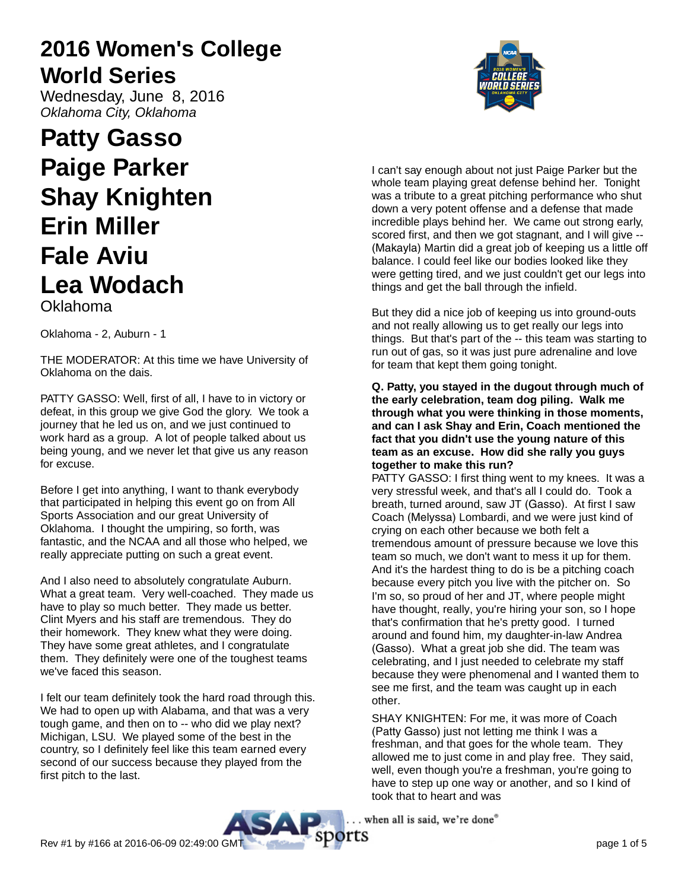# **2016 Women's College World Series**

Wednesday, June 8, 2016 Oklahoma City, Oklahoma

# **Patty Gasso Paige Parker Shay Knighten Erin Miller Fale Aviu Lea Wodach** Oklahoma

Oklahoma - 2, Auburn - 1

THE MODERATOR: At this time we have University of Oklahoma on the dais.

PATTY GASSO: Well, first of all, I have to in victory or defeat, in this group we give God the glory. We took a journey that he led us on, and we just continued to work hard as a group. A lot of people talked about us being young, and we never let that give us any reason for excuse.

Before I get into anything, I want to thank everybody that participated in helping this event go on from All Sports Association and our great University of Oklahoma. I thought the umpiring, so forth, was fantastic, and the NCAA and all those who helped, we really appreciate putting on such a great event.

And I also need to absolutely congratulate Auburn. What a great team. Very well-coached. They made us have to play so much better. They made us better. Clint Myers and his staff are tremendous. They do their homework. They knew what they were doing. They have some great athletes, and I congratulate them. They definitely were one of the toughest teams we've faced this season.

I felt our team definitely took the hard road through this. We had to open up with Alabama, and that was a very tough game, and then on to -- who did we play next? Michigan, LSU. We played some of the best in the country, so I definitely feel like this team earned every second of our success because they played from the first pitch to the last.



I can't say enough about not just Paige Parker but the whole team playing great defense behind her. Tonight was a tribute to a great pitching performance who shut down a very potent offense and a defense that made incredible plays behind her. We came out strong early, scored first, and then we got stagnant, and I will give -- (Makayla) Martin did a great job of keeping us a little off balance. I could feel like our bodies looked like they were getting tired, and we just couldn't get our legs into things and get the ball through the infield.

But they did a nice job of keeping us into ground-outs and not really allowing us to get really our legs into things. But that's part of the -- this team was starting to run out of gas, so it was just pure adrenaline and love for team that kept them going tonight.

#### **Q. Patty, you stayed in the dugout through much of the early celebration, team dog piling. Walk me through what you were thinking in those moments, and can I ask Shay and Erin, Coach mentioned the fact that you didn't use the young nature of this team as an excuse. How did she rally you guys together to make this run?**

PATTY GASSO: I first thing went to my knees. It was a very stressful week, and that's all I could do. Took a breath, turned around, saw JT (Gasso). At first I saw Coach (Melyssa) Lombardi, and we were just kind of crying on each other because we both felt a tremendous amount of pressure because we love this team so much, we don't want to mess it up for them. And it's the hardest thing to do is be a pitching coach because every pitch you live with the pitcher on. So I'm so, so proud of her and JT, where people might have thought, really, you're hiring your son, so I hope that's confirmation that he's pretty good. I turned around and found him, my daughter-in-law Andrea (Gasso). What a great job she did. The team was celebrating, and I just needed to celebrate my staff because they were phenomenal and I wanted them to see me first, and the team was caught up in each other.

SHAY KNIGHTEN: For me, it was more of Coach (Patty Gasso) just not letting me think I was a freshman, and that goes for the whole team. They allowed me to just come in and play free. They said, well, even though you're a freshman, you're going to have to step up one way or another, and so I kind of took that to heart and was

. when all is said, we're done"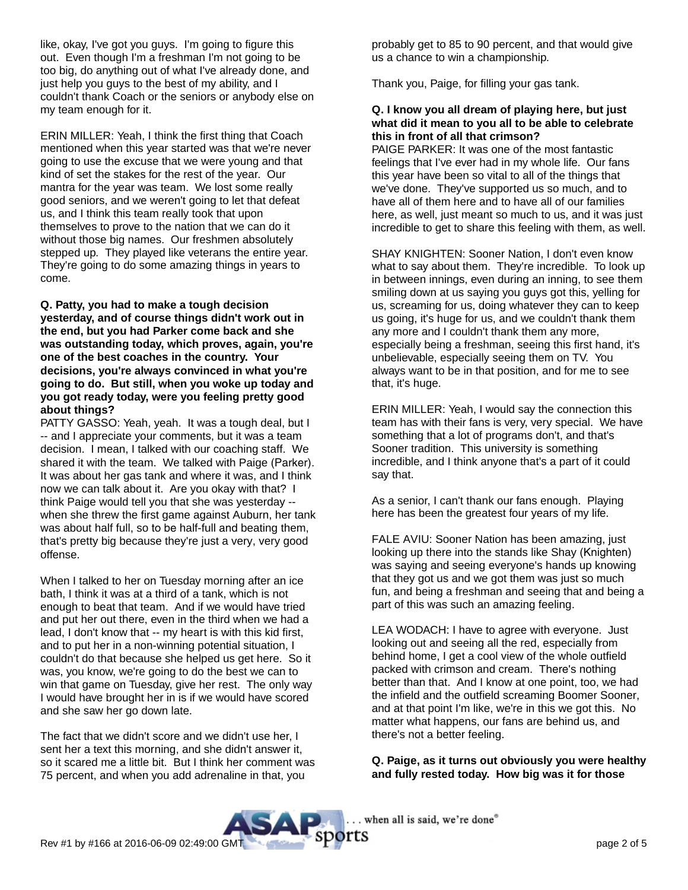like, okay, I've got you guys. I'm going to figure this out. Even though I'm a freshman I'm not going to be too big, do anything out of what I've already done, and just help you guys to the best of my ability, and I couldn't thank Coach or the seniors or anybody else on my team enough for it.

ERIN MILLER: Yeah, I think the first thing that Coach mentioned when this year started was that we're never going to use the excuse that we were young and that kind of set the stakes for the rest of the year. Our mantra for the year was team. We lost some really good seniors, and we weren't going to let that defeat us, and I think this team really took that upon themselves to prove to the nation that we can do it without those big names. Our freshmen absolutely stepped up. They played like veterans the entire year. They're going to do some amazing things in years to come.

**Q. Patty, you had to make a tough decision yesterday, and of course things didn't work out in the end, but you had Parker come back and she was outstanding today, which proves, again, you're one of the best coaches in the country. Your decisions, you're always convinced in what you're going to do. But still, when you woke up today and you got ready today, were you feeling pretty good about things?**

PATTY GASSO: Yeah, yeah. It was a tough deal, but I -- and I appreciate your comments, but it was a team decision. I mean, I talked with our coaching staff. We shared it with the team. We talked with Paige (Parker). It was about her gas tank and where it was, and I think now we can talk about it. Are you okay with that? I think Paige would tell you that she was yesterday - when she threw the first game against Auburn, her tank was about half full, so to be half-full and beating them, that's pretty big because they're just a very, very good offense.

When I talked to her on Tuesday morning after an ice bath, I think it was at a third of a tank, which is not enough to beat that team. And if we would have tried and put her out there, even in the third when we had a lead, I don't know that -- my heart is with this kid first, and to put her in a non-winning potential situation, I couldn't do that because she helped us get here. So it was, you know, we're going to do the best we can to win that game on Tuesday, give her rest. The only way I would have brought her in is if we would have scored and she saw her go down late.

The fact that we didn't score and we didn't use her, I sent her a text this morning, and she didn't answer it, so it scared me a little bit. But I think her comment was 75 percent, and when you add adrenaline in that, you

probably get to 85 to 90 percent, and that would give us a chance to win a championship.

Thank you, Paige, for filling your gas tank.

#### **Q. I know you all dream of playing here, but just what did it mean to you all to be able to celebrate this in front of all that crimson?**

PAIGE PARKER: It was one of the most fantastic feelings that I've ever had in my whole life. Our fans this year have been so vital to all of the things that we've done. They've supported us so much, and to have all of them here and to have all of our families here, as well, just meant so much to us, and it was just incredible to get to share this feeling with them, as well.

SHAY KNIGHTEN: Sooner Nation, I don't even know what to say about them. They're incredible. To look up in between innings, even during an inning, to see them smiling down at us saying you guys got this, yelling for us, screaming for us, doing whatever they can to keep us going, it's huge for us, and we couldn't thank them any more and I couldn't thank them any more, especially being a freshman, seeing this first hand, it's unbelievable, especially seeing them on TV. You always want to be in that position, and for me to see that, it's huge.

ERIN MILLER: Yeah, I would say the connection this team has with their fans is very, very special. We have something that a lot of programs don't, and that's Sooner tradition. This university is something incredible, and I think anyone that's a part of it could say that.

As a senior, I can't thank our fans enough. Playing here has been the greatest four years of my life.

FALE AVIU: Sooner Nation has been amazing, just looking up there into the stands like Shay (Knighten) was saying and seeing everyone's hands up knowing that they got us and we got them was just so much fun, and being a freshman and seeing that and being a part of this was such an amazing feeling.

LEA WODACH: I have to agree with everyone. Just looking out and seeing all the red, especially from behind home, I get a cool view of the whole outfield packed with crimson and cream. There's nothing better than that. And I know at one point, too, we had the infield and the outfield screaming Boomer Sooner, and at that point I'm like, we're in this we got this. No matter what happens, our fans are behind us, and there's not a better feeling.

**Q. Paige, as it turns out obviously you were healthy and fully rested today. How big was it for those**

. when all is said, we're done"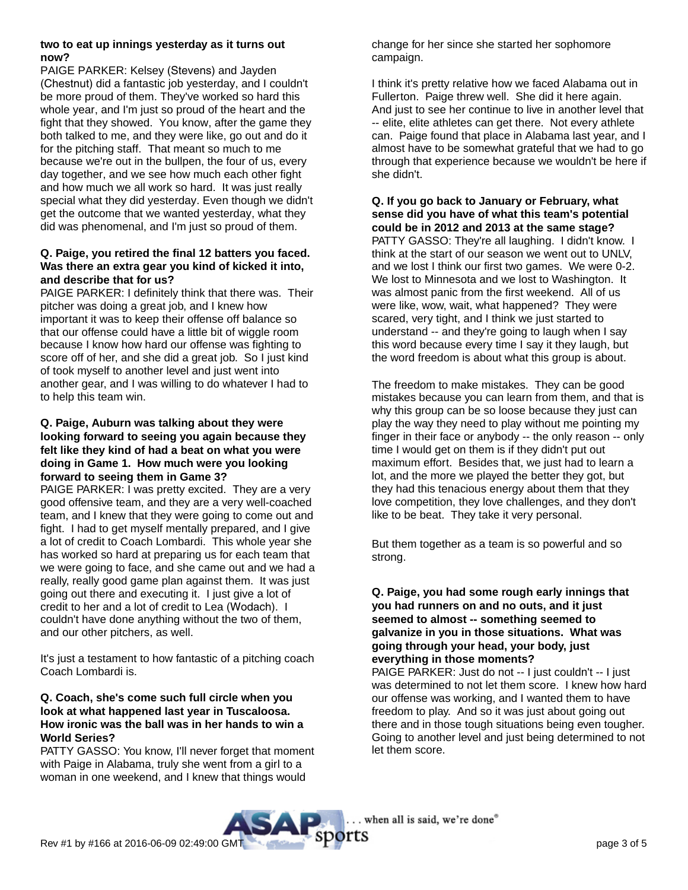#### **two to eat up innings yesterday as it turns out now?**

PAIGE PARKER: Kelsey (Stevens) and Jayden (Chestnut) did a fantastic job yesterday, and I couldn't be more proud of them. They've worked so hard this whole year, and I'm just so proud of the heart and the fight that they showed. You know, after the game they both talked to me, and they were like, go out and do it for the pitching staff. That meant so much to me because we're out in the bullpen, the four of us, every day together, and we see how much each other fight and how much we all work so hard. It was just really special what they did yesterday. Even though we didn't get the outcome that we wanted yesterday, what they did was phenomenal, and I'm just so proud of them.

## **Q. Paige, you retired the final 12 batters you faced. Was there an extra gear you kind of kicked it into, and describe that for us?**

PAIGE PARKER: I definitely think that there was. Their pitcher was doing a great job, and I knew how important it was to keep their offense off balance so that our offense could have a little bit of wiggle room because I know how hard our offense was fighting to score off of her, and she did a great job. So I just kind of took myself to another level and just went into another gear, and I was willing to do whatever I had to to help this team win.

## **Q. Paige, Auburn was talking about they were looking forward to seeing you again because they felt like they kind of had a beat on what you were doing in Game 1. How much were you looking forward to seeing them in Game 3?**

PAIGE PARKER: I was pretty excited. They are a very good offensive team, and they are a very well-coached team, and I knew that they were going to come out and fight. I had to get myself mentally prepared, and I give a lot of credit to Coach Lombardi. This whole year she has worked so hard at preparing us for each team that we were going to face, and she came out and we had a really, really good game plan against them. It was just going out there and executing it. I just give a lot of credit to her and a lot of credit to Lea (Wodach). I couldn't have done anything without the two of them, and our other pitchers, as well.

It's just a testament to how fantastic of a pitching coach Coach Lombardi is.

## **Q. Coach, she's come such full circle when you look at what happened last year in Tuscaloosa. How ironic was the ball was in her hands to win a World Series?**

PATTY GASSO: You know, I'll never forget that moment with Paige in Alabama, truly she went from a girl to a woman in one weekend, and I knew that things would

change for her since she started her sophomore campaign.

I think it's pretty relative how we faced Alabama out in Fullerton. Paige threw well. She did it here again. And just to see her continue to live in another level that -- elite, elite athletes can get there. Not every athlete can. Paige found that place in Alabama last year, and I almost have to be somewhat grateful that we had to go through that experience because we wouldn't be here if she didn't.

**Q. If you go back to January or February, what sense did you have of what this team's potential could be in 2012 and 2013 at the same stage?** PATTY GASSO: They're all laughing. I didn't know. I think at the start of our season we went out to UNLV, and we lost I think our first two games. We were 0-2. We lost to Minnesota and we lost to Washington. It was almost panic from the first weekend. All of us were like, wow, wait, what happened? They were scared, very tight, and I think we just started to understand -- and they're going to laugh when I say this word because every time I say it they laugh, but the word freedom is about what this group is about.

The freedom to make mistakes. They can be good mistakes because you can learn from them, and that is why this group can be so loose because they just can play the way they need to play without me pointing my finger in their face or anybody -- the only reason -- only time I would get on them is if they didn't put out maximum effort. Besides that, we just had to learn a lot, and the more we played the better they got, but they had this tenacious energy about them that they love competition, they love challenges, and they don't like to be beat. They take it very personal.

But them together as a team is so powerful and so strong.

## **Q. Paige, you had some rough early innings that you had runners on and no outs, and it just seemed to almost -- something seemed to galvanize in you in those situations. What was going through your head, your body, just everything in those moments?**

PAIGE PARKER: Just do not -- I just couldn't -- I just was determined to not let them score. I knew how hard our offense was working, and I wanted them to have freedom to play. And so it was just about going out there and in those tough situations being even tougher. Going to another level and just being determined to not let them score.

. when all is said, we're done"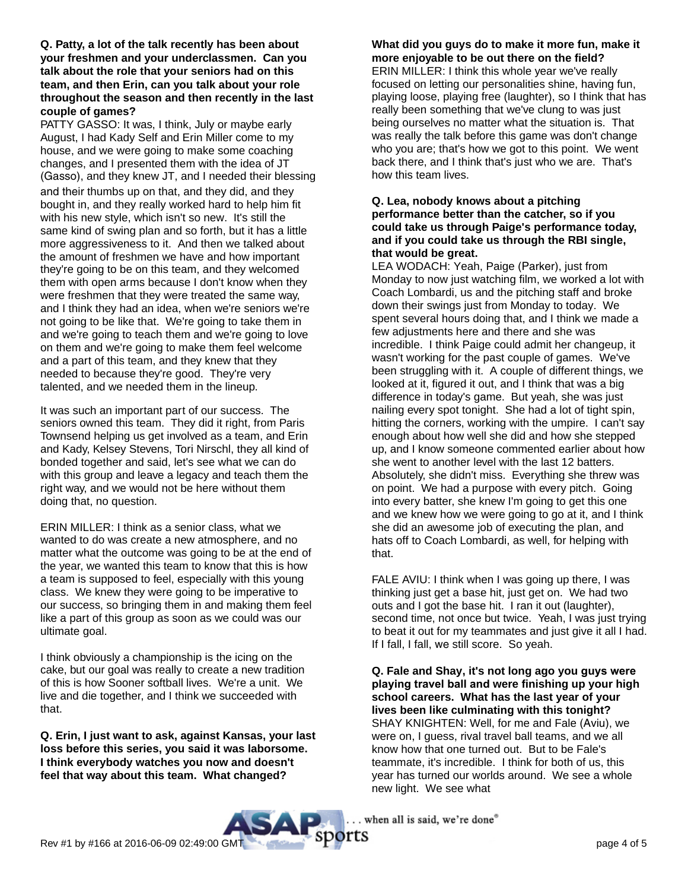**Q. Patty, a lot of the talk recently has been about your freshmen and your underclassmen. Can you talk about the role that your seniors had on this team, and then Erin, can you talk about your role throughout the season and then recently in the last couple of games?**

PATTY GASSO: It was, I think, July or maybe early August, I had Kady Self and Erin Miller come to my house, and we were going to make some coaching changes, and I presented them with the idea of JT (Gasso), and they knew JT, and I needed their blessing and their thumbs up on that, and they did, and they bought in, and they really worked hard to help him fit with his new style, which isn't so new. It's still the same kind of swing plan and so forth, but it has a little more aggressiveness to it. And then we talked about the amount of freshmen we have and how important they're going to be on this team, and they welcomed them with open arms because I don't know when they were freshmen that they were treated the same way, and I think they had an idea, when we're seniors we're not going to be like that. We're going to take them in and we're going to teach them and we're going to love on them and we're going to make them feel welcome and a part of this team, and they knew that they needed to because they're good. They're very talented, and we needed them in the lineup.

It was such an important part of our success. The seniors owned this team. They did it right, from Paris Townsend helping us get involved as a team, and Erin and Kady, Kelsey Stevens, Tori Nirschl, they all kind of bonded together and said, let's see what we can do with this group and leave a legacy and teach them the right way, and we would not be here without them doing that, no question.

ERIN MILLER: I think as a senior class, what we wanted to do was create a new atmosphere, and no matter what the outcome was going to be at the end of the year, we wanted this team to know that this is how a team is supposed to feel, especially with this young class. We knew they were going to be imperative to our success, so bringing them in and making them feel like a part of this group as soon as we could was our ultimate goal.

I think obviously a championship is the icing on the cake, but our goal was really to create a new tradition of this is how Sooner softball lives. We're a unit. We live and die together, and I think we succeeded with that.

**Q. Erin, I just want to ask, against Kansas, your last loss before this series, you said it was laborsome. I think everybody watches you now and doesn't feel that way about this team. What changed?**

# **What did you guys do to make it more fun, make it more enjoyable to be out there on the field?**

ERIN MILLER: I think this whole year we've really focused on letting our personalities shine, having fun, playing loose, playing free (laughter), so I think that has really been something that we've clung to was just being ourselves no matter what the situation is. That was really the talk before this game was don't change who you are; that's how we got to this point. We went back there, and I think that's just who we are. That's how this team lives.

#### **Q. Lea, nobody knows about a pitching performance better than the catcher, so if you could take us through Paige's performance today, and if you could take us through the RBI single, that would be great.**

LEA WODACH: Yeah, Paige (Parker), just from Monday to now just watching film, we worked a lot with Coach Lombardi, us and the pitching staff and broke down their swings just from Monday to today. We spent several hours doing that, and I think we made a few adjustments here and there and she was incredible. I think Paige could admit her changeup, it wasn't working for the past couple of games. We've been struggling with it. A couple of different things, we looked at it, figured it out, and I think that was a big difference in today's game. But yeah, she was just nailing every spot tonight. She had a lot of tight spin, hitting the corners, working with the umpire. I can't say enough about how well she did and how she stepped up, and I know someone commented earlier about how she went to another level with the last 12 batters. Absolutely, she didn't miss. Everything she threw was on point. We had a purpose with every pitch. Going into every batter, she knew I'm going to get this one and we knew how we were going to go at it, and I think she did an awesome job of executing the plan, and hats off to Coach Lombardi, as well, for helping with that.

FALE AVIU: I think when I was going up there, I was thinking just get a base hit, just get on. We had two outs and I got the base hit. I ran it out (laughter), second time, not once but twice. Yeah, I was just trying to beat it out for my teammates and just give it all I had. If I fall, I fall, we still score. So yeah.

**Q. Fale and Shay, it's not long ago you guys were playing travel ball and were finishing up your high school careers. What has the last year of your lives been like culminating with this tonight?** SHAY KNIGHTEN: Well, for me and Fale (Aviu), we were on, I guess, rival travel ball teams, and we all know how that one turned out. But to be Fale's teammate, it's incredible. I think for both of us, this year has turned our worlds around. We see a whole new light. We see what

. when all is said, we're done®